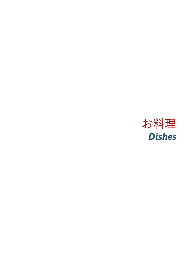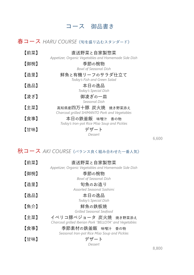## コース 御品書き

## 春コース *HARU COURSE*《旬を盛り込むスタンダード》

| 【前菜】 | 直送野菜と自家製惣菜<br>Appetizer, Organic Vegetables and Homemade Side Dish   |
|------|----------------------------------------------------------------------|
| 【御椀】 | 季節の椀物<br><b>Bowl of Seasonal Dish</b>                                |
| 【造里】 | 鮮魚と有機リーフのサラダ仕立て<br>Today's Fish and Green Salad                      |
| 【逸品】 | 本日の逸品<br>Today's Special Dish                                        |
| 【凌ぎ】 | 御凌ぎの一皿<br>Seasonal Dish                                              |
| 【主菜】 | 高知県産四万十豚 炭火焼 焼き野菜添え<br>Charcoal grilled SHIMANTO Pork and Vegetables |
| 【食事】 | 本日の鉄釜飯 味噌汁 香の物                                                       |
| 【甘味】 | Today's Iron-pot Rice Miso Soup and Pickles<br>デザート<br>Dessert       |

秋コース *AKI COURSE*《バランス良く組み合わせた一番人気》

| 【前菜】 | 直送野菜と自家製惣菜                                             |
|------|--------------------------------------------------------|
|      | Appetizer, Organic Vegetables and Homemade Side Dish   |
| 【御椀】 | 季節の椀物                                                  |
|      | <b>Bowl of Seasonal Dish</b>                           |
| 【造里】 | 旬魚のお造り                                                 |
|      | Assorted Seasonal Sashimi                              |
| 【逸品】 | 本日の逸品                                                  |
|      | Today's Special Dish                                   |
| 【魚介】 | 鮮魚の鉄板焼                                                 |
|      | Grilled Seasonal Seafood                               |
|      |                                                        |
| 【主菜】 | イベリコ豚ベジョータ 炭火焼 焼き野菜添え                                  |
|      | Charcoal grilled Iberian Pork "BELLOTA" and Vegetables |
| 【食事】 | 季節素材の鉄釜飯 味噌汁 香の物                                       |
|      | Seasonal Iron-pot Rice Miso Soup and Pickles           |
| 【甘味】 | デザート                                                   |
|      | Dessert                                                |

8,800

6,600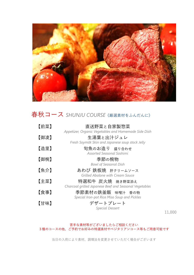

# 春秋コース *SHUNJU COURSE*《厳選素材をふんだんに》

| 【前菜】 | 直送野菜と自家製惣菜                                                                                                            |
|------|-----------------------------------------------------------------------------------------------------------------------|
| 【御凌】 | Appetizer, Organic Vegetables and Homemade Side Dish<br>生湯葉と出汁ジュレ<br>Fresh Soymilk Skin and Japanese soup stock Jelly |
| 【造里】 | 旬魚のお造り 盛り合わせ<br>Assorted Seasonal Sashimi                                                                             |
| 【御椀】 | 季節の椀物<br><b>Bowl of Seasonal Dish</b>                                                                                 |
| 【魚介】 | あわび 鉄板焼 肝クリームソース<br>Grilled Abalone with Cream Sauce                                                                  |
| 【主菜】 | 特選和牛 炭火焼 焼き野菜添え<br>Charcoal grilled Japanese Beef and Seasonal Vegetables                                             |
| 【食事】 | 季節素材の鉄釜飯 味噌汁 香の物<br>Special Iron-pot Rice Miso Soup and Pickles                                                       |
| 【甘味】 | デザートプレート<br><b>Special Dessert</b>                                                                                    |

11,000

#### 苦手な素材等がございましたらご相談ください 3種のコースの他、ご予約でお好みの特選素材やベジタリアンコース等もご用意可能です

当日の入荷により素材、調理法を変更させていただく場合がございます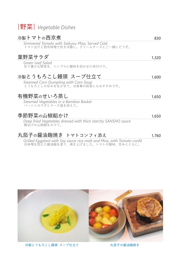

#### 冷製トマトの西京煮 830

*Simmered Tomato with Saikyou Miso, Served Cold* トマト出汁と西京味噌で炊き冷製に。クリームチーズとご一緒にどうぞ。

### 葉野菜サラダ 1,320

*Green Leaf Salad* 彩り豊かな野菜を、シンプルに酸味を効かせた味付けで。

## 冷製とうもろこし饅頭 スープ仕立て 1,600

*Steamed Corn Dumpling with Corn Soup* とうもろこしの甘みを生かせて。お食事の前菜にもおすすめです。

### 有機野菜のせいろ蒸し 1,650

*Steamed Vegetables in a Bamboo Basket* バーニャカウダとマース塩を添えて。

## 季節野菜の山椒餡かけ 1,650

*Deep fried Vegetables dressed with thick starchy SANSHO sauce* 鰹出汁の山椒餡をかけて。

## 丸茄子の醤油麹焼き トマトコンフィ添え イング 1,760

*Grilled Eggplant with Soy sauce rice malt and Miso, with Tomato confit* 白味噌を加えた醤油麹を塗り、焼き上げました。トマトの酸味、甘みとともに。



冷製とうもろこし饅頭 スープ仕立て インファイン カ茄子の醤油麹焼き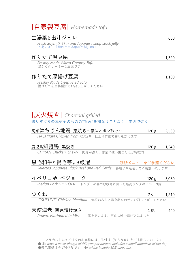## |自家製豆腐| *Homemade tofu*

| 生湯葉と出汁ジュレ                                                               | 660   |
|-------------------------------------------------------------------------|-------|
| Fresh Soymilk Skin and Japanese soup stock jelly<br>入荷により『雲丹と生湯葉の冷製』880 |       |
| 作りたて温豆腐                                                                 | 1,320 |
| Freshly Made Warm Creamy Tofu<br>温かぐクリーミーな豆腐です                          |       |
| 作りたて厚揚げ豆腐                                                               | 1,100 |
| Freshly Made Deep Fried Tofu<br>揚げたてを生姜醤油でお召し上がりください                    |       |
|                                                                         |       |
|                                                                         |       |
| 炭火焼き  Charcoal grilled                                                  |       |

選りすぐりの素材そのものの"旨み"を損なうことなく、炭火で焼く

| 高知はちきん地鶏 藁焼き~薬味とポン酢で~ |                                           | 120 g 2,530 |  |
|-----------------------|-------------------------------------------|-------------|--|
|                       | HACHIKIN Chicken from KOCHI 仕上げに藁で香りを加えます |             |  |

### 鹿児島知覧鶏 黒焼き 120g 1,540

*CHIRAN Chicken, chewy* 肉身が強く、非常に強い歯ごたえが特徴的

| 黒毛和牛ゃ褐毛等ょり厳選                                                 | 別紙メニューをご参照ください |
|--------------------------------------------------------------|----------------|
| Selected Japanese Black Beef and Red Cattle 各地より厳選してご用意いたします |                |

- イベリコ豚 ベジョータ 120g 3,080
	- *Iberian Pork "BELLOTA"* ドングリの森で放牧され育った最高ランクのイベリコ豚
- 

*"TSUKUNE" Chicken Meatball* 大根おろしと温泉卵をのせてお召し上がりください

| 天使海老 西京漬け焼き |  | 440 |
|-------------|--|-----|
|-------------|--|-----|

*Prawn, Marinated in Miso* 1尾をそのまま、西京味噌で漬け込みました

アラカルトにてご注文のお客様には、先付け(¥880)をご提供しております ●We have a cover charge of 880 yen per person, includes a small appetizer of the day. ●表示価格は全て税込みです All prices include 10% sales tax.

#### つくね 2ケ 1,210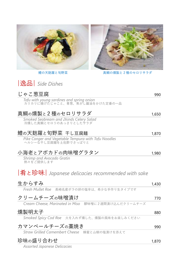



■鱧の天麩羅と旬野菜 インディング 真鯛の燻製と2種のセロリサラダ

|逸品| *Side Dishes*

| じゃこ葱豆腐                                                                      | 990   |
|-----------------------------------------------------------------------------|-------|
| Tofu with young sardines and spring onion<br>カリカリに揚げたじゃこと、青葱、焦がし醤油をかけた定番の一品 |       |
| 真鯛の燻製と2種のセロリサラダ                                                             | 1,650 |
| Smoked Seabream and 2kinds Celery Salad<br>冷燻した真鯛とセロリのあっさりとしたサラダ            |       |
| 鱧の天麩羅と旬野菜 干し豆腐麺                                                             | 1,870 |
| Pike Conger and Vegetable Tempura with Tofu Noodles<br>ヘルシーな干し豆腐麺を土佐酢でさっぱりと |       |
| 小海老とアボカドの肉味噌グラタン                                                            | 1,980 |
| Shrimp and Avocado Gratin<br>熱々をご提供します                                      |       |
| 肴と珍味  Japanese delicacies recommended with sake                             |       |
| 生からすみ                                                                       | 1,430 |
| Fresh Mullet Roe 長崎名産ボラの卵の塩辛は、希少な手作り生タイプです                                  |       |
| クリームチーズの味噌漬け                                                                | 770   |
| Cream Cheese, Marinated in Miso 醪味噌に2週間漬け込んだクリームチーズ                         |       |
| 燻製明太子                                                                       | 880   |
| Smoked Spicy Cod Roe 火を入れず燻した、燻製の風味をお楽しみください                                |       |
| カマンベールチーズの藁焼き                                                               | 990   |
| Straw Grilled Camembert Cheese 蜂蜜と山椒の塩漬けを添えて                                |       |
| 珍味の盛り合わせ                                                                    | 1,870 |

*Assorted Japanese Delicacies*